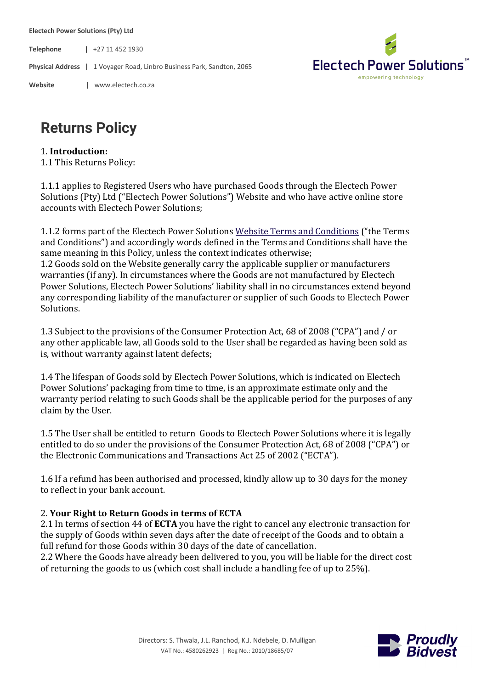**Electech Power Solutions (Pty) Ltd**

**Telephone |** +27 11 452 1930

**Physical Address |** 1 Voyager Road, Linbro Business Park, Sandton, 2065

**Website |** www.electech.co.za



# **Returns Policy**

#### 1. **Introduction:**

1.1 This Returns Policy:

1.1.1 applies to Registered Users who have purchased Goods through the Electech Power Solutions (Pty) Ltd ("Electech Power Solutions") Website and who have active online store accounts with Electech Power Solutions;

1.1.2 forms part of the Electech Power Solutions Website Terms and Conditions ("the Terms and Conditions") and accordingly words defined in the Terms and Conditions shall have the same meaning in this Policy, unless the context indicates otherwise; 1.2 Goods sold on the Website generally carry the applicable supplier or manufacturers warranties (if any). In circumstances where the Goods are not manufactured by Electech Power Solutions, Electech Power Solutions' liability shall in no circumstances extend beyond any corresponding liability of the manufacturer or supplier of such Goods to Electech Power Solutions.

1.3 Subject to the provisions of the Consumer Protection Act, 68 of 2008 ("CPA") and / or any other applicable law, all Goods sold to the User shall be regarded as having been sold as is, without warranty against latent defects;

1.4 The lifespan of Goods sold by Electech Power Solutions, which is indicated on Electech Power Solutions' packaging from time to time, is an approximate estimate only and the warranty period relating to such Goods shall be the applicable period for the purposes of any claim by the User.

1.5 The User shall be entitled to return Goods to Electech Power Solutions where it is legally entitled to do so under the provisions of the Consumer Protection Act, 68 of 2008 ("CPA") or the Electronic Communications and Transactions Act 25 of 2002 ("ECTA").

1.6 If a refund has been authorised and processed, kindly allow up to 30 days for the money to reflect in your bank account.

#### 2. **Your Right to Return Goods in terms of ECTA**

2.1 In terms of section 44 of **ECTA** you have the right to cancel any electronic transaction for the supply of Goods within seven days after the date of receipt of the Goods and to obtain a full refund for those Goods within 30 days of the date of cancellation.

2.2 Where the Goods have already been delivered to you, you will be liable for the direct cost of returning the goods to us (which cost shall include a handling fee of up to  $25%$ ).

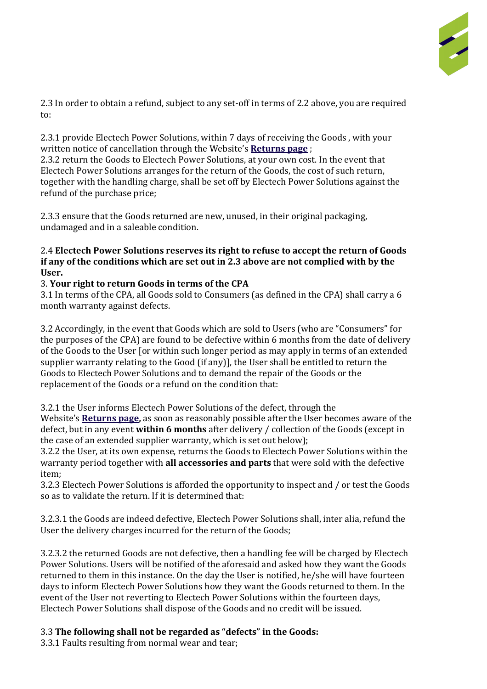

2.3 In order to obtain a refund, subject to any set-off in terms of 2.2 above, you are required to:

2.3.1 provide Electech Power Solutions, within 7 days of receiving the Goods, with your written notice of cancellation through the Website's **Returns page** ;

2.3.2 return the Goods to Electech Power Solutions, at your own cost. In the event that Electech Power Solutions arranges for the return of the Goods, the cost of such return, together with the handling charge, shall be set off by Electech Power Solutions against the refund of the purchase price;

2.3.3 ensure that the Goods returned are new, unused, in their original packaging, undamaged and in a saleable condition.

#### 2.4 **Electech Power Solutions reserves its right to refuse to accept the return of Goods if any of the conditions which are set out in 2.3 above are not complied with by the User.**

# 3. **Your right to return Goods in terms of the CPA**

3.1 In terms of the CPA, all Goods sold to Consumers (as defined in the CPA) shall carry a 6 month warranty against defects.

3.2 Accordingly, in the event that Goods which are sold to Users (who are "Consumers" for the purposes of the CPA) are found to be defective within 6 months from the date of delivery of the Goods to the User [or within such longer period as may apply in terms of an extended supplier warranty relating to the Good (if any)], the User shall be entitled to return the Goods to Electech Power Solutions and to demand the repair of the Goods or the replacement of the Goods or a refund on the condition that:

3.2.1 the User informs Electech Power Solutions of the defect, through the Website's **Returns page,** as soon as reasonably possible after the User becomes aware of the defect, but in any event **within 6 months** after delivery / collection of the Goods (except in

the case of an extended supplier warranty, which is set out below); 3.2.2 the User, at its own expense, returns the Goods to Electech Power Solutions within the

warranty period together with **all accessories and parts** that were sold with the defective item;

3.2.3 Electech Power Solutions is afforded the opportunity to inspect and / or test the Goods so as to validate the return. If it is determined that:

3.2.3.1 the Goods are indeed defective, Electech Power Solutions shall, inter alia, refund the User the delivery charges incurred for the return of the Goods;

3.2.3.2 the returned Goods are not defective, then a handling fee will be charged by Electech Power Solutions. Users will be notified of the aforesaid and asked how they want the Goods returned to them in this instance. On the day the User is notified, he/she will have fourteen days to inform Electech Power Solutions how they want the Goods returned to them. In the event of the User not reverting to Electech Power Solutions within the fourteen days, Electech Power Solutions shall dispose of the Goods and no credit will be issued.

# 3.3 **The following shall not be regarded as "defects" in the Goods:**

3.3.1 Faults resulting from normal wear and tear;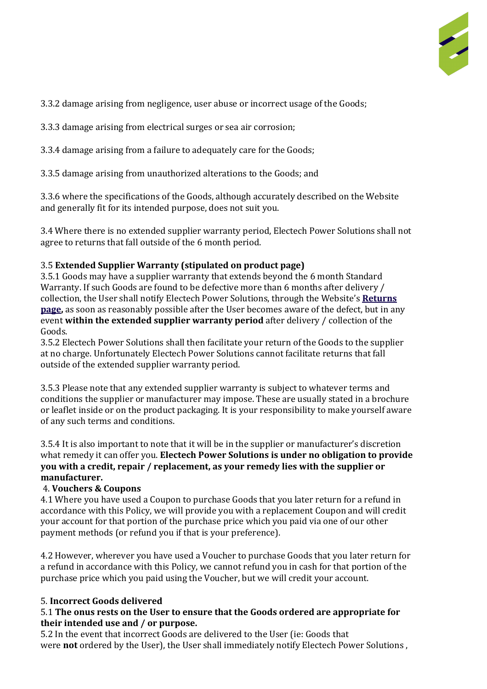

3.3.2 damage arising from negligence, user abuse or incorrect usage of the Goods;

3.3.3 damage arising from electrical surges or sea air corrosion;

3.3.4 damage arising from a failure to adequately care for the Goods;

3.3.5 damage arising from unauthorized alterations to the Goods; and

3.3.6 where the specifications of the Goods, although accurately described on the Website and generally fit for its intended purpose, does not suit you.

3.4 Where there is no extended supplier warranty period, Electech Power Solutions shall not agree to returns that fall outside of the 6 month period.

# 3.5 **Extended Supplier Warranty (stipulated on product page)**

3.5.1 Goods may have a supplier warranty that extends beyond the 6 month Standard Warranty. If such Goods are found to be defective more than 6 months after delivery / collection, the User shall notify Electech Power Solutions, through the Website's Returns **page,** as soon as reasonably possible after the User becomes aware of the defect, but in any event within the extended supplier warranty period after delivery / collection of the Goods.

3.5.2 Electech Power Solutions shall then facilitate your return of the Goods to the supplier at no charge. Unfortunately Electech Power Solutions cannot facilitate returns that fall outside of the extended supplier warranty period.

3.5.3 Please note that any extended supplier warranty is subject to whatever terms and conditions the supplier or manufacturer may impose. These are usually stated in a brochure or leaflet inside or on the product packaging. It is your responsibility to make yourself aware of any such terms and conditions.

3.5.4 It is also important to note that it will be in the supplier or manufacturer's discretion what remedy it can offer you. **Electech Power Solutions is under no obligation to provide you with a credit, repair / replacement, as your remedy lies with the supplier or manufacturer.**

# 4. **Vouchers & Coupons**

4.1 Where you have used a Coupon to purchase Goods that you later return for a refund in accordance with this Policy, we will provide you with a replacement Coupon and will credit your account for that portion of the purchase price which you paid via one of our other payment methods (or refund you if that is your preference).

4.2 However, wherever you have used a Voucher to purchase Goods that you later return for a refund in accordance with this Policy, we cannot refund you in cash for that portion of the purchase price which you paid using the Voucher, but we will credit your account.

### 5. **Incorrect Goods delivered**

### 5.1 **The onus rests on the User to ensure that the Goods ordered are appropriate for their intended use and / or purpose.**

5.2 In the event that incorrect Goods are delivered to the User (ie: Goods that were **not** ordered by the User), the User shall immediately notify Electech Power Solutions,